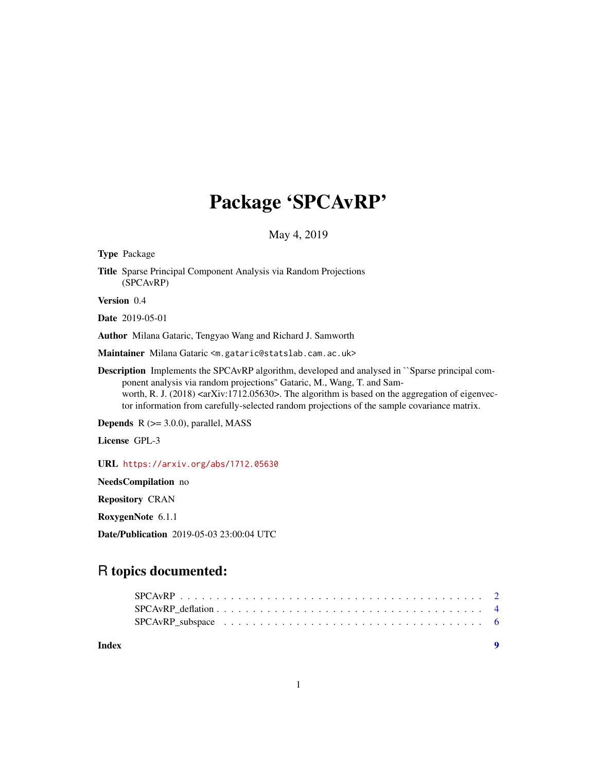## Package 'SPCAvRP'

May 4, 2019

Type Package Title Sparse Principal Component Analysis via Random Projections (SPCAvRP) Version 0.4 Date 2019-05-01 Author Milana Gataric, Tengyao Wang and Richard J. Samworth Maintainer Milana Gataric <m.gataric@statslab.cam.ac.uk> Description Implements the SPCAvRP algorithm, developed and analysed in ``Sparse principal component analysis via random projections'' Gataric, M., Wang, T. and Samworth, R. J. (2018)  $\langle \text{arXiv:1712.05630}\rangle$ . The algorithm is based on the aggregation of eigenvector information from carefully-selected random projections of the sample covariance matrix. **Depends**  $R$  ( $>= 3.0.0$ ), parallel, MASS License GPL-3 URL <https://arxiv.org/abs/1712.05630> NeedsCompilation no Repository CRAN

RoxygenNote 6.1.1

Date/Publication 2019-05-03 23:00:04 UTC

### R topics documented:

**Index** [9](#page-8-0)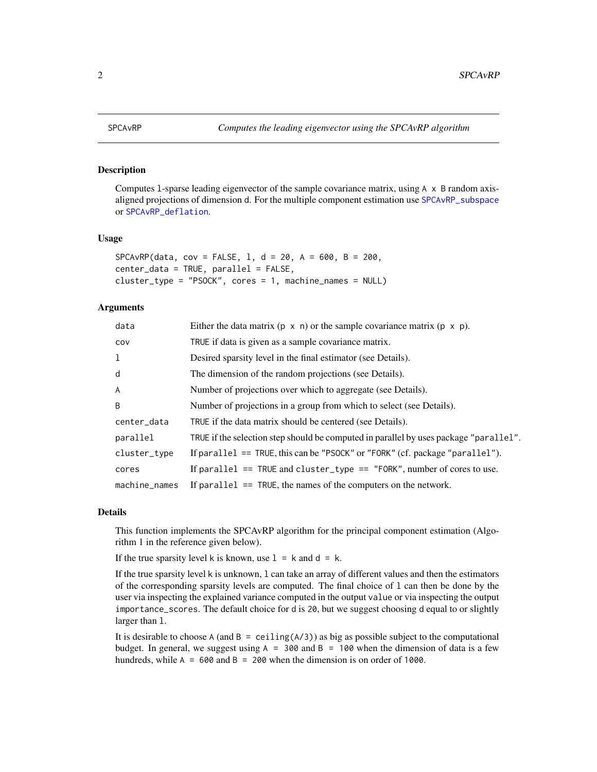<span id="page-1-1"></span><span id="page-1-0"></span>

#### Description

Computes l-sparse leading eigenvector of the sample covariance matrix, using A x B random axisaligned projections of dimension d. For the multiple component estimation use [SPCAvRP\\_subspace](#page-5-1) or [SPCAvRP\\_deflation](#page-3-1).

#### Usage

```
SPCAVRP(data, cov = FALSE, 1, d = 20, A = 600, B = 200,
center_data = TRUE, parallel = FALSE,
cluster_type = "PSOCK", cores = 1, machine_names = NULL)
```
#### Arguments

| data          | Either the data matrix ( $p \times n$ ) or the sample covariance matrix ( $p \times p$ ). |
|---------------|-------------------------------------------------------------------------------------------|
| COV           | TRUE if data is given as a sample covariance matrix.                                      |
| 1             | Desired sparsity level in the final estimator (see Details).                              |
| d             | The dimension of the random projections (see Details).                                    |
| $\mathsf{A}$  | Number of projections over which to aggregate (see Details).                              |
| B             | Number of projections in a group from which to select (see Details).                      |
| center_data   | TRUE if the data matrix should be centered (see Details).                                 |
| parallel      | TRUE if the selection step should be computed in parallel by uses package "parallel".     |
| cluster_type  | If parallel $==$ TRUE, this can be "PSOCK" or "FORK" (cf. package "parallel").            |
| cores         | If parallel $==$ TRUE and cluster_type $==$ "FORK", number of cores to use.               |
| machine_names | If parallel $==$ TRUE, the names of the computers on the network.                         |

#### Details

This function implements the SPCAvRP algorithm for the principal component estimation (Algorithm 1 in the reference given below).

If the true sparsity level k is known, use  $1 = k$  and  $d = k$ .

If the true sparsity level k is unknown, l can take an array of different values and then the estimators of the corresponding sparsity levels are computed. The final choice of l can then be done by the user via inspecting the explained variance computed in the output value or via inspecting the output importance\_scores. The default choice for d is 20, but we suggest choosing d equal to or slightly larger than l.

It is desirable to choose A (and  $B =$  ceiling( $A/3$ )) as big as possible subject to the computational budget. In general, we suggest using  $A = 300$  and  $B = 100$  when the dimension of data is a few hundreds, while  $A = 600$  and  $B = 200$  when the dimension is on order of 1000.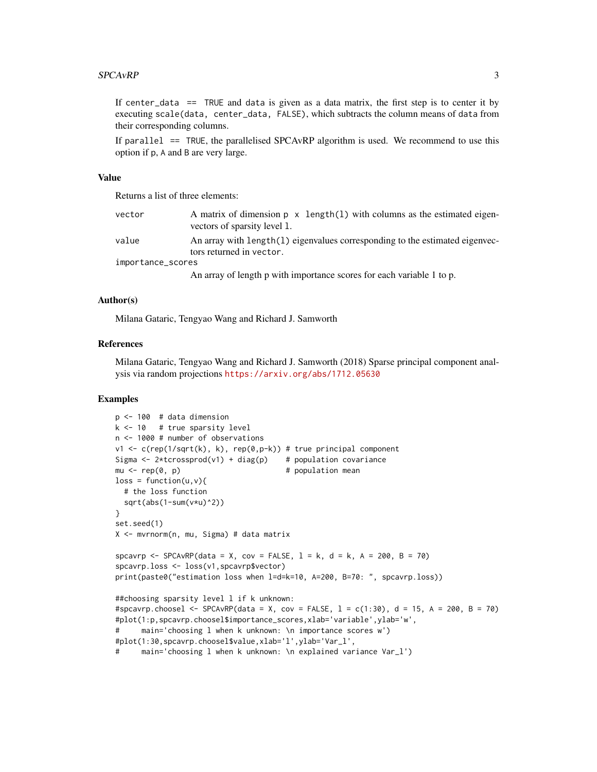#### $SPCAVRP$  3

If center\_data  $==$  TRUE and data is given as a data matrix, the first step is to center it by executing scale(data, center\_data, FALSE), which subtracts the column means of data from their corresponding columns.

If parallel  $=$  TRUE, the parallelised SPCAvRP algorithm is used. We recommend to use this option if p, A and B are very large.

#### Value

Returns a list of three elements:

| vector            | vectors of sparsity level 1. |  |                                                                                                                                                                                                                              |  |               |  | A matrix of dimension $p \times \text{length}(1)$ with columns as the estimated eigen- |  |
|-------------------|------------------------------|--|------------------------------------------------------------------------------------------------------------------------------------------------------------------------------------------------------------------------------|--|---------------|--|----------------------------------------------------------------------------------------|--|
| value             | tors returned in vector.     |  |                                                                                                                                                                                                                              |  |               |  | An array with length(1) eigenvalues corresponding to the estimated eigenvec-           |  |
| importance_scores |                              |  |                                                                                                                                                                                                                              |  |               |  |                                                                                        |  |
|                   |                              |  | $0.1$ . The set of the set of the set of the set of the set of the set of the set of the set of the set of the set of the set of the set of the set of the set of the set of the set of the set of the set of the set of the |  | $\sim$ 1 11 4 |  |                                                                                        |  |

An array of length p with importance scores for each variable 1 to p.

#### Author(s)

Milana Gataric, Tengyao Wang and Richard J. Samworth

#### References

Milana Gataric, Tengyao Wang and Richard J. Samworth (2018) Sparse principal component analysis via random projections <https://arxiv.org/abs/1712.05630>

#### Examples

```
p \le -100 # data dimension
k <- 10 # true sparsity level
n <- 1000 # number of observations
v1 <- c(rep(1/sqrt(k), k), rep(0,p-k)) # true principal component
Sigma \leq 2*tcrossprod(v1) + diag(p) # population covariance
mu \leq rep(0, p) \qquad # population mean
loss = function(u, v)# the loss function
 sqrt(abs(1-sum(v*u)^2))
}
set.seed(1)
X <- mvrnorm(n, mu, Sigma) # data matrix
spcavrp <- SPCAvRP(data = X, cov = FALSE, l = k, d = k, A = 200, B = 70)
spcavrp.loss <- loss(v1,spcavrp$vector)
print(paste0("estimation loss when l=d=k=10, A=200, B=70: ", spcavrp.loss))
##choosing sparsity level l if k unknown:
#spcavrp.choosel <- SPCAvRP(data = X, cov = FALSE, l = c(1:30), d = 15, A = 200, B = 70)
#plot(1:p,spcavrp.choosel$importance_scores,xlab='variable',ylab='w',
# main='choosing l when k unknown: \n importance scores w')
#plot(1:30,spcavrp.choosel$value,xlab='l',ylab='Var_l',
     main='choosing 1 when k unknown: \n<math>exp[1] = (1 - 1)</math>
```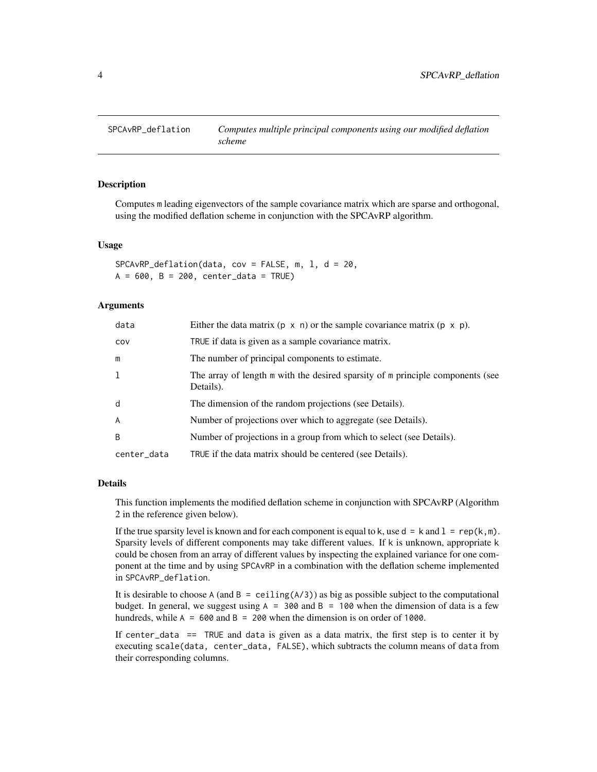<span id="page-3-1"></span><span id="page-3-0"></span>

#### **Description**

Computes m leading eigenvectors of the sample covariance matrix which are sparse and orthogonal, using the modified deflation scheme in conjunction with the SPCAvRP algorithm.

#### Usage

```
SPCAVRP\_definition(data, cov = FALSE, m, 1, d = 20,A = 600, B = 200, center_data = TRUE)
```
#### Arguments

| data         | Either the data matrix $(p \times n)$ or the sample covariance matrix $(p \times p)$ .      |
|--------------|---------------------------------------------------------------------------------------------|
| COV          | TRUE if data is given as a sample covariance matrix.                                        |
| m            | The number of principal components to estimate.                                             |
| 1            | The array of length m with the desired sparsity of m principle components (see<br>Details). |
| d            | The dimension of the random projections (see Details).                                      |
| A            | Number of projections over which to aggregate (see Details).                                |
| <sub>B</sub> | Number of projections in a group from which to select (see Details).                        |
| center_data  | TRUE if the data matrix should be centered (see Details).                                   |

#### Details

This function implements the modified deflation scheme in conjunction with SPCAvRP (Algorithm 2 in the reference given below).

If the true sparsity level is known and for each component is equal to k, use  $d = k$  and  $1 = rep(k,m)$ . Sparsity levels of different components may take different values. If k is unknown, appropriate k could be chosen from an array of different values by inspecting the explained variance for one component at the time and by using SPCAvRP in a combination with the deflation scheme implemented in SPCAvRP\_deflation.

It is desirable to choose A (and  $B =$  ceiling(A/3)) as big as possible subject to the computational budget. In general, we suggest using  $A = 300$  and  $B = 100$  when the dimension of data is a few hundreds, while  $A = 600$  and  $B = 200$  when the dimension is on order of 1000.

If center\_data  $==$  TRUE and data is given as a data matrix, the first step is to center it by executing scale(data, center\_data, FALSE), which subtracts the column means of data from their corresponding columns.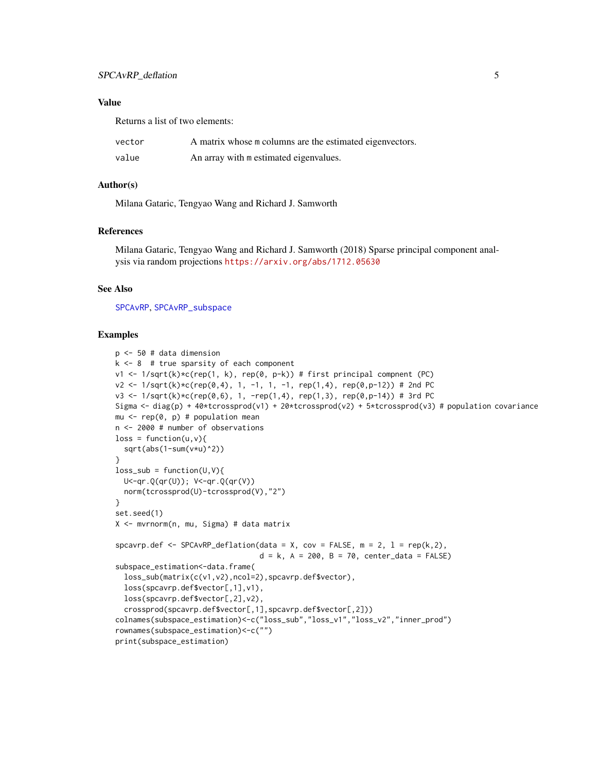#### <span id="page-4-0"></span>Value

Returns a list of two elements:

| vector | A matrix whose m columns are the estimated eigenvectors. |
|--------|----------------------------------------------------------|
| value  | An array with m estimated eigenvalues.                   |

#### Author(s)

Milana Gataric, Tengyao Wang and Richard J. Samworth

#### References

Milana Gataric, Tengyao Wang and Richard J. Samworth (2018) Sparse principal component analysis via random projections <https://arxiv.org/abs/1712.05630>

#### See Also

[SPCAvRP](#page-1-1), [SPCAvRP\\_subspace](#page-5-1)

#### Examples

```
p <- 50 # data dimension
k \le -8 # true sparsity of each component
v1 <- 1/sqrt(k)*c(rep(1, k), rep(0, p-k)) # first principal compnent (PC)
v2 \le -1/\sqrt{(k)x}(rep(0,4), 1, -1, 1, -1, rep(1,4), rep(0,p-12)) # 2nd PC
v3 \le 1/\sqrt{(kep(\theta, 6), 1, -rep(1, 4), rep(1, 3), rep(\theta, p-14))} # 3rd PC
Sigma <- diag(p) + 40*tcrossprod(v1) + 20*tcrossprod(v2) + 5*tcrossprod(v3) # population covariance
mu \leq rep(0, p) # population mean
n <- 2000 # number of observations
loss = function(u, v)sqrt(abs(1-sum(v*u)^2))
}
loss\_sub = function(U,V)U<-qr.Q(qr(U)); V<-qr.Q(qr(V))
  norm(tcrossprod(U)-tcrossprod(V),"2")
}
set.seed(1)
X <- mvrnorm(n, mu, Sigma) # data matrix
spcavrp.def <- SPCAvRP_deflation(data = X, cov = FALSE, m = 2, 1 = rep(k,2),
                                  d = k, A = 200, B = 70, center_data = FALSE)
subspace_estimation<-data.frame(
  loss_sub(matrix(c(v1,v2),ncol=2),spcavrp.def$vector),
  loss(spcavrp.def$vector[,1],v1),
  loss(spcavrp.def$vector[,2],v2),
  crossprod(spcavrp.def$vector[,1],spcavrp.def$vector[,2]))
colnames(subspace_estimation)<-c("loss_sub","loss_v1","loss_v2","inner_prod")
rownames(subspace_estimation)<-c("")
print(subspace_estimation)
```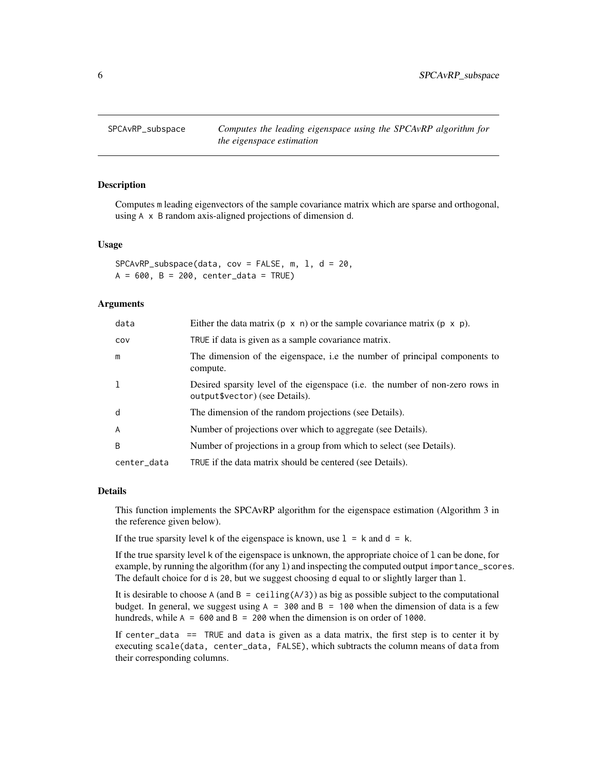<span id="page-5-1"></span><span id="page-5-0"></span>

#### Description

Computes m leading eigenvectors of the sample covariance matrix which are sparse and orthogonal, using A x B random axis-aligned projections of dimension d.

#### Usage

```
SPCAVRP\_subspace(data, cov = FALSE, m, 1, d = 20,A = 600, B = 200, center_data = TRUE)
```
#### Arguments

| data        | Either the data matrix ( $p \times n$ ) or the sample covariance matrix ( $p \times p$ ).                       |
|-------------|-----------------------------------------------------------------------------------------------------------------|
| COV         | TRUE if data is given as a sample covariance matrix.                                                            |
| m           | The dimension of the eigenspace, i.e the number of principal components to<br>compute.                          |
| 1           | Desired sparsity level of the eigenspace (i.e. the number of non-zero rows in<br>output\$vector) (see Details). |
| d           | The dimension of the random projections (see Details).                                                          |
| A           | Number of projections over which to aggregate (see Details).                                                    |
| B           | Number of projections in a group from which to select (see Details).                                            |
| center_data | TRUE if the data matrix should be centered (see Details).                                                       |

#### Details

This function implements the SPCAvRP algorithm for the eigenspace estimation (Algorithm 3 in the reference given below).

If the true sparsity level k of the eigenspace is known, use  $1 = k$  and  $d = k$ .

If the true sparsity level k of the eigenspace is unknown, the appropriate choice of l can be done, for example, by running the algorithm (for any l) and inspecting the computed output importance\_scores. The default choice for d is 20, but we suggest choosing d equal to or slightly larger than 1.

It is desirable to choose A (and  $B =$  ceiling(A/3)) as big as possible subject to the computational budget. In general, we suggest using  $A = 300$  and  $B = 100$  when the dimension of data is a few hundreds, while  $A = 600$  and  $B = 200$  when the dimension is on order of 1000.

If center\_data  $==$  TRUE and data is given as a data matrix, the first step is to center it by executing scale(data, center\_data, FALSE), which subtracts the column means of data from their corresponding columns.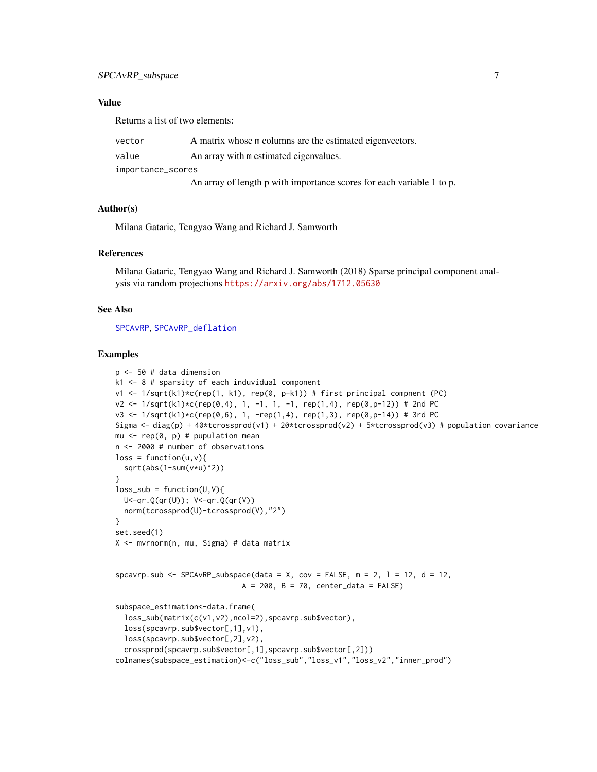#### <span id="page-6-0"></span>Value

Returns a list of two elements:

| vector            | A matrix whose m columns are the estimated eigenvectors.              |
|-------------------|-----------------------------------------------------------------------|
| value             | An array with m estimated eigenvalues.                                |
| importance_scores |                                                                       |
|                   | An array of length p with importance scores for each variable 1 to p. |

#### Author(s)

Milana Gataric, Tengyao Wang and Richard J. Samworth

#### References

Milana Gataric, Tengyao Wang and Richard J. Samworth (2018) Sparse principal component analysis via random projections <https://arxiv.org/abs/1712.05630>

#### See Also

[SPCAvRP](#page-1-1), [SPCAvRP\\_deflation](#page-3-1)

#### Examples

```
p \le -50 # data dimension
k1 <- 8 # sparsity of each induvidual component
v1 <- 1/sqrt(k1)*c(rep(1, k1), rep(0, p-k1)) # first principal compnent (PC)
v2 <- 1/\sqrt{(1 + \frac{1}{2}) \cdot \frac{1}{2}} (rep(0,4), 1, -1, 1, -1, rep(1,4), rep(0,p-12)) # 2nd PC
v3 \le 1/\sqrt{(k1)x}c(\text{rep}(0,6), 1, -\text{rep}(1,4), \text{rep}(1,3), \text{rep}(0,p-14)) # 3rd PC
Sigma <- diag(p) + 40*tcrossprod(v1) + 20*tcrossprod(v2) + 5*tcrossprod(v3) # population covariance
mu \leq rep(0, p) # pupulation mean
n <- 2000 # number of observations
loss = function(u, v)sqrt(abs(1-sum(v*u)^2))
}
loss\_sub = function(U,V)U<-qr.Q(qr(U)); V<-qr.Q(qr(V))
  norm(tcrossprod(U)-tcrossprod(V),"2")
}
set.seed(1)
X <- mvrnorm(n, mu, Sigma) # data matrix
spcavrp.sub <- SPCAvRP_subspace(data = X, cov = FALSE, m = 2, 1 = 12, d = 12,
                               A = 200, B = 70, center_data = FALSE)
subspace_estimation<-data.frame(
  loss_sub(matrix(c(v1,v2),ncol=2),spcavrp.sub$vector),
  loss(spcavrp.sub$vector[,1],v1),
  loss(spcavrp.sub$vector[,2],v2),
  crossprod(spcavrp.sub$vector[,1],spcavrp.sub$vector[,2]))
colnames(subspace_estimation)<-c("loss_sub","loss_v1","loss_v2","inner_prod")
```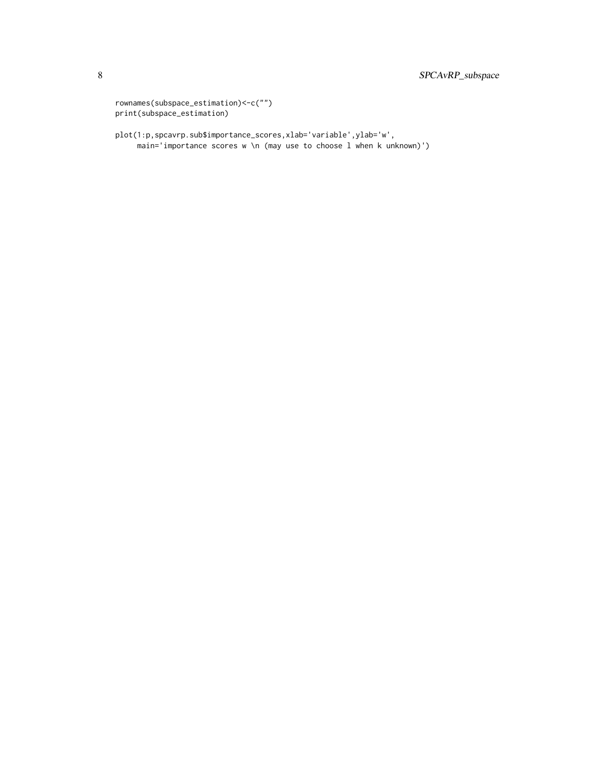```
rownames(subspace_estimation)<-c("")
print(subspace_estimation)
```
plot(1:p,spcavrp.sub\$importance\_scores,xlab='variable',ylab='w', main='importance scores w \n (may use to choose l when k unknown)')